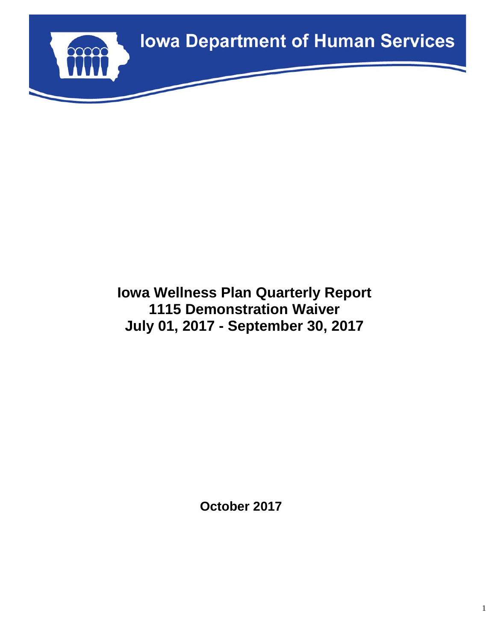

# **Iowa Wellness Plan Quarterly Report 1115 Demonstration Waiver July 01, 2017 - September 30, 2017**

**October 2017**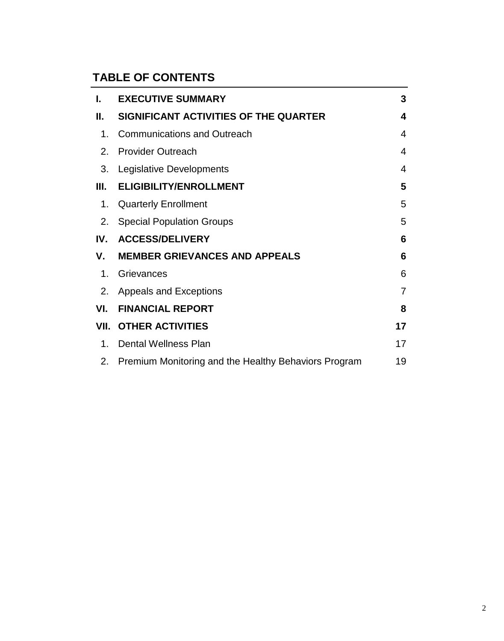# **TABLE OF CONTENTS**

| ı.  | <b>EXECUTIVE SUMMARY</b>                             | 3                       |
|-----|------------------------------------------------------|-------------------------|
| Н.  | SIGNIFICANT ACTIVITIES OF THE QUARTER                | $\overline{\mathbf{4}}$ |
| 1.  | <b>Communications and Outreach</b>                   | 4                       |
| 2.  | <b>Provider Outreach</b>                             | $\overline{4}$          |
| 3.  | Legislative Developments                             | 4                       |
| Ш.  | <b>ELIGIBILITY/ENROLLMENT</b>                        | 5                       |
| 1.  | <b>Quarterly Enrollment</b>                          | 5                       |
| 2.  | <b>Special Population Groups</b>                     | 5                       |
| IV. | <b>ACCESS/DELIVERY</b>                               | 6                       |
| V.  | <b>MEMBER GRIEVANCES AND APPEALS</b>                 | 6                       |
| 1.  | Grievances                                           | 6                       |
|     | 2. Appeals and Exceptions                            | $\overline{7}$          |
| VI. | <b>FINANCIAL REPORT</b>                              | 8                       |
|     | <b>VII. OTHER ACTIVITIES</b>                         | 17                      |
| 1.  | <b>Dental Wellness Plan</b>                          | 17                      |
| 2.  | Premium Monitoring and the Healthy Behaviors Program | 19                      |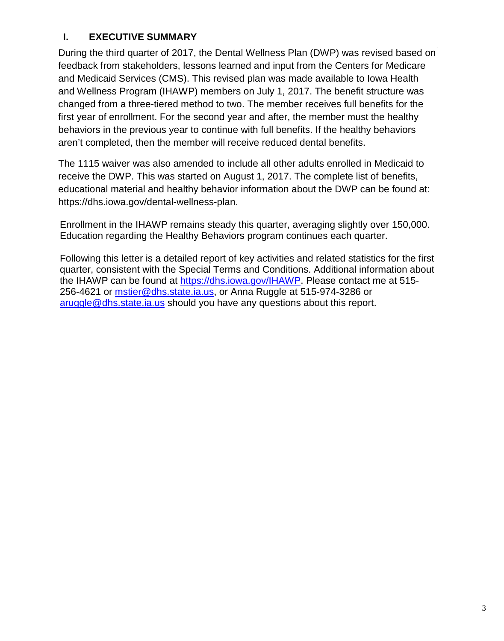### **I. EXECUTIVE SUMMARY**

During the third quarter of 2017, the Dental Wellness Plan (DWP) was revised based on feedback from stakeholders, lessons learned and input from the Centers for Medicare and Medicaid Services (CMS). This revised plan was made available to Iowa Health and Wellness Program (IHAWP) members on July 1, 2017. The benefit structure was changed from a three-tiered method to two. The member receives full benefits for the first year of enrollment. For the second year and after, the member must the healthy behaviors in the previous year to continue with full benefits. If the healthy behaviors aren't completed, then the member will receive reduced dental benefits.

The 1115 waiver was also amended to include all other adults enrolled in Medicaid to receive the DWP. This was started on August 1, 2017. The complete list of benefits, educational material and healthy behavior information about the DWP can be found at: https://dhs.iowa.gov/dental-wellness-plan.

Enrollment in the IHAWP remains steady this quarter, averaging slightly over 150,000. Education regarding the Healthy Behaviors program continues each quarter.

Following this letter is a detailed report of key activities and related statistics for the first quarter, consistent with the Special Terms and Conditions. Additional information about the IHAWP can be found at [https://dhs.iowa.gov/IHAWP.](https://dhs.iowa.gov/IHAWP) Please contact me at 515- 256-4621 or [mstier@dhs.state.ia.us,](mailto:mstier@dhs.state.ia.us) or Anna Ruggle at 515-974-3286 or [aruggle@dhs.state.ia.us](mailto:aruggle@dhs.state.ia.us) should you have any questions about this report.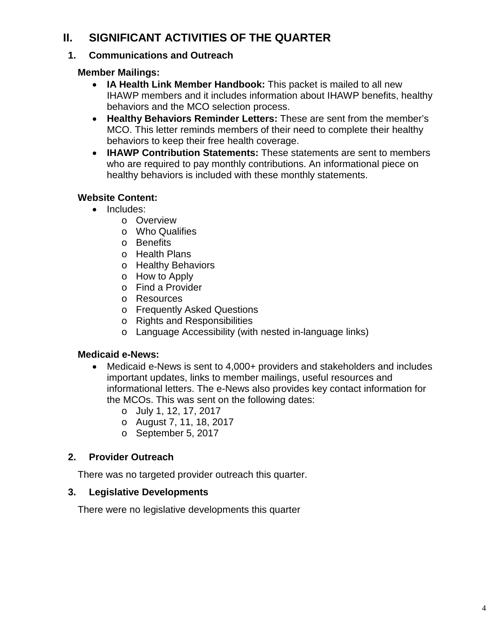## **II. SIGNIFICANT ACTIVITIES OF THE QUARTER**

### **1. Communications and Outreach**

### **Member Mailings:**

- **IA Health Link Member Handbook:** This packet is mailed to all new IHAWP members and it includes information about IHAWP benefits, healthy behaviors and the MCO selection process.
- **Healthy Behaviors Reminder Letters:** These are sent from the member's MCO. This letter reminds members of their need to complete their healthy behaviors to keep their free health coverage.
- **IHAWP Contribution Statements:** These statements are sent to members who are required to pay monthly contributions. An informational piece on healthy behaviors is included with these monthly statements.

### **Website Content:**

- Includes:
	- o Overview
	- o Who Qualifies
	- o Benefits
	- o Health Plans
	- o Healthy Behaviors
	- o How to Apply
	- o Find a Provider
	- o Resources
	- o Frequently Asked Questions
	- o Rights and Responsibilities
	- o Language Accessibility (with nested in-language links)

### **Medicaid e-News:**

- Medicaid e-News is sent to 4,000+ providers and stakeholders and includes important updates, links to member mailings, useful resources and informational letters. The e-News also provides key contact information for the MCOs. This was sent on the following dates:
	- o July 1, 12, 17, 2017
	- o August 7, 11, 18, 2017
	- o September 5, 2017

### **2. Provider Outreach**

There was no targeted provider outreach this quarter.

### **3. Legislative Developments**

There were no legislative developments this quarter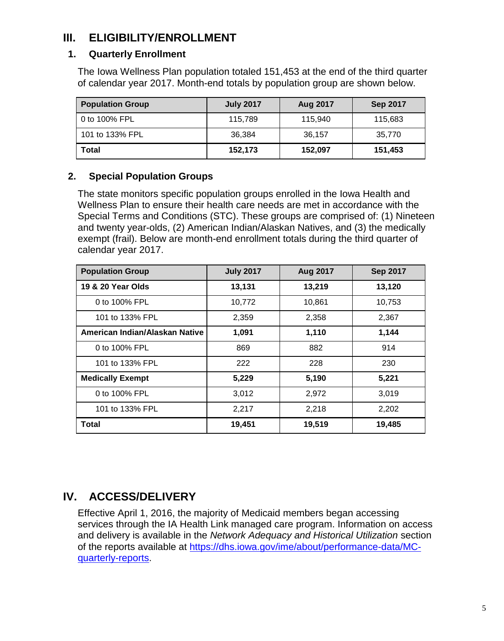# **III. ELIGIBILITY/ENROLLMENT**

### **1. Quarterly Enrollment**

The Iowa Wellness Plan population totaled 151,453 at the end of the third quarter of calendar year 2017. Month-end totals by population group are shown below.

| <b>Population Group</b> | <b>July 2017</b> | Aug 2017 | <b>Sep 2017</b> |
|-------------------------|------------------|----------|-----------------|
| 0 to 100% FPL           | 115,789          | 115,940  | 115,683         |
| 101 to 133% FPL         | 36.384           | 36,157   | 35,770          |
| Total                   | 152,173          | 152,097  | 151,453         |

### **2. Special Population Groups**

The state monitors specific population groups enrolled in the Iowa Health and Wellness Plan to ensure their health care needs are met in accordance with the Special Terms and Conditions (STC). These groups are comprised of: (1) Nineteen and twenty year-olds, (2) American Indian/Alaskan Natives, and (3) the medically exempt (frail). Below are month-end enrollment totals during the third quarter of calendar year 2017.

| <b>Population Group</b>        | <b>July 2017</b> | Aug 2017 | <b>Sep 2017</b> |
|--------------------------------|------------------|----------|-----------------|
| 19 & 20 Year Olds              | 13,131           | 13,219   | 13,120          |
| 0 to 100% FPL                  | 10,772           | 10,861   | 10,753          |
| 101 to 133% FPL                | 2,359            | 2,358    | 2,367           |
| American Indian/Alaskan Native | 1,091            | 1,110    | 1,144           |
| 0 to 100% FPL                  | 869              | 882      | 914             |
| 101 to 133% FPL                | 222              | 228      | 230             |
| <b>Medically Exempt</b>        | 5,229            | 5,190    | 5,221           |
| 0 to 100% FPL                  | 3,012            | 2,972    | 3,019           |
| 101 to 133% FPL                | 2,217            | 2,218    | 2,202           |
| <b>Total</b>                   | 19,451           | 19,519   | 19,485          |

### **IV. ACCESS/DELIVERY**

Effective April 1, 2016, the majority of Medicaid members began accessing services through the IA Health Link managed care program. Information on access and delivery is available in the *Network Adequacy and Historical Utilization* section of the reports available at [https://dhs.iowa.gov/ime/about/performance-data/MC](https://dhs.iowa.gov/ime/about/performance-data/MC-quarterly-reports)[quarterly-reports.](https://dhs.iowa.gov/ime/about/performance-data/MC-quarterly-reports)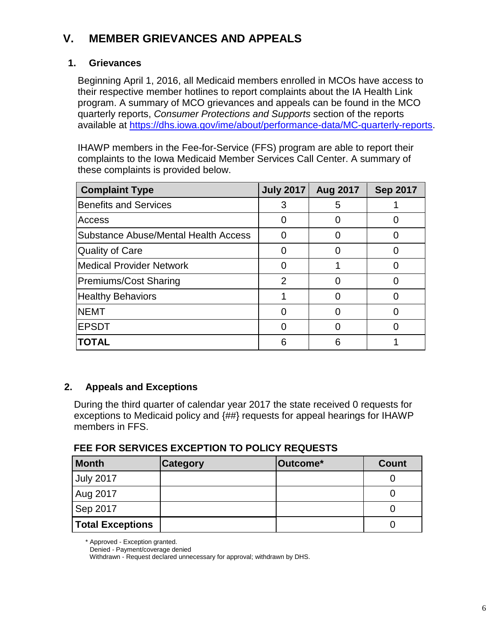# **V. MEMBER GRIEVANCES AND APPEALS**

#### **1. Grievances**

Beginning April 1, 2016, all Medicaid members enrolled in MCOs have access to their respective member hotlines to report complaints about the IA Health Link program. A summary of MCO grievances and appeals can be found in the MCO quarterly reports, *Consumer Protections and Supports* section of the reports available at [https://dhs.iowa.gov/ime/about/performance-data/MC-quarterly-reports.](https://dhs.iowa.gov/ime/about/performance-data/MC-quarterly-reports)

IHAWP members in the Fee-for-Service (FFS) program are able to report their complaints to the Iowa Medicaid Member Services Call Center. A summary of these complaints is provided below.

| <b>Complaint Type</b>                       | <b>July 2017</b> | <b>Aug 2017</b> | <b>Sep 2017</b> |
|---------------------------------------------|------------------|-----------------|-----------------|
| <b>Benefits and Services</b>                | 3                | 5               |                 |
| <b>Access</b>                               |                  |                 |                 |
| <b>Substance Abuse/Mental Health Access</b> |                  |                 |                 |
| Quality of Care                             |                  |                 |                 |
| <b>Medical Provider Network</b>             |                  |                 |                 |
| Premiums/Cost Sharing                       | $\overline{2}$   |                 |                 |
| <b>Healthy Behaviors</b>                    |                  |                 |                 |
| <b>NEMT</b>                                 |                  |                 |                 |
| <b>EPSDT</b>                                |                  |                 |                 |
| <b>TOTAL</b>                                | 6                | 6               |                 |

### **2. Appeals and Exceptions**

During the third quarter of calendar year 2017 the state received 0 requests for exceptions to Medicaid policy and {##} requests for appeal hearings for IHAWP members in FFS.

### **FEE FOR SERVICES EXCEPTION TO POLICY REQUESTS**

| <b>Month</b>            | <b>Category</b> | <b>Outcome*</b> | <b>Count</b> |
|-------------------------|-----------------|-----------------|--------------|
| <b>July 2017</b>        |                 |                 |              |
| Aug 2017                |                 |                 |              |
| Sep 2017                |                 |                 |              |
| <b>Total Exceptions</b> |                 |                 |              |

\* Approved - Exception granted.

Withdrawn - Request declared unnecessary for approval; withdrawn by DHS.

Denied - Payment/coverage denied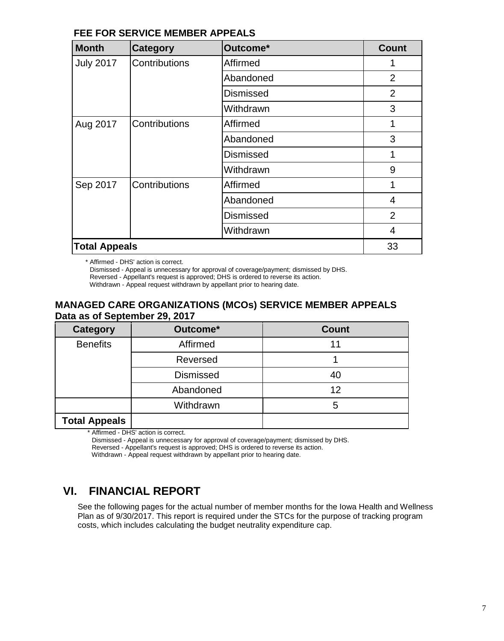#### **FEE FOR SERVICE MEMBER APPEALS**

| <b>Month</b>         | <b>Category</b> | Outcome*         | <b>Count</b>   |
|----------------------|-----------------|------------------|----------------|
| <b>July 2017</b>     | Contributions   | Affirmed         |                |
|                      |                 | Abandoned        | $\overline{2}$ |
|                      |                 | <b>Dismissed</b> | $\overline{2}$ |
|                      |                 | Withdrawn        | 3              |
| Aug 2017             | Contributions   | Affirmed         |                |
|                      |                 | Abandoned        | 3              |
|                      |                 | <b>Dismissed</b> |                |
|                      |                 | Withdrawn        | 9              |
| Sep 2017             | Contributions   | Affirmed         |                |
|                      |                 | Abandoned        | 4              |
|                      |                 | <b>Dismissed</b> | $\overline{2}$ |
|                      |                 | Withdrawn        | 4              |
| <b>Total Appeals</b> |                 |                  | 33             |

\* Affirmed - DHS' action is correct.

Dismissed - Appeal is unnecessary for approval of coverage/payment; dismissed by DHS.

Reversed - Appellant's request is approved; DHS is ordered to reverse its action.

Withdrawn - Appeal request withdrawn by appellant prior to hearing date.

#### **MANAGED CARE ORGANIZATIONS (MCOs) SERVICE MEMBER APPEALS Data as of September 29, 2017**

| <b>Category</b>      | Outcome*         | <b>Count</b> |
|----------------------|------------------|--------------|
| <b>Benefits</b>      | Affirmed         | 11           |
|                      | Reversed         |              |
|                      | <b>Dismissed</b> | 40           |
|                      | Abandoned        | 12           |
|                      | Withdrawn        | 5            |
| <b>Total Appeals</b> |                  |              |

Affirmed - DHS' action is correct.

Dismissed - Appeal is unnecessary for approval of coverage/payment; dismissed by DHS.

Reversed - Appellant's request is approved; DHS is ordered to reverse its action.

Withdrawn - Appeal request withdrawn by appellant prior to hearing date.

### **VI. FINANCIAL REPORT**

See the following pages for the actual number of member months for the Iowa Health and Wellness Plan as of 9/30/2017. This report is required under the STCs for the purpose of tracking program costs, which includes calculating the budget neutrality expenditure cap.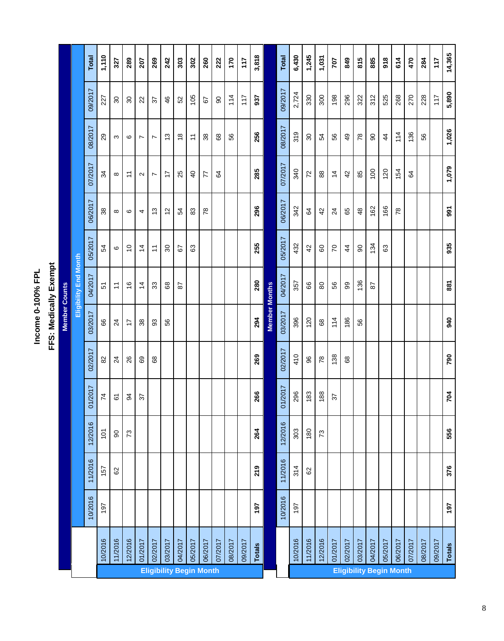Income 0-100% FPL **Income 0-100% FPL**

|                       |                      |                       | <b>Total</b> | 1,110          | 327                     | 289                   | 207            | 269                            | 242              | 303           | 302            | 260     | 222           | 170     | 117     | 3,818  |                      | Total   | 6,430   | 1,245                       | 1,031         | 707             | 849             | 815           | 885              | 918            | 614                            | 470            | 284     | 117     | 14,365        |
|-----------------------|----------------------|-----------------------|--------------|----------------|-------------------------|-----------------------|----------------|--------------------------------|------------------|---------------|----------------|---------|---------------|---------|---------|--------|----------------------|---------|---------|-----------------------------|---------------|-----------------|-----------------|---------------|------------------|----------------|--------------------------------|----------------|---------|---------|---------------|
|                       |                      |                       | 09/2017      | 227            | $\rm ^{8}$              | $\mathcal{S}^{\circ}$ | $\overline{2}$ | 57                             | 46               | 52            | 105            | 67      | $\infty$      | 114     | 117     | 937    |                      | 09/2017 | 2,724   | 330                         | 300           | 198             | 296             | 322           | 312              | 525            | 268                            | 270            | 228     | 117     | 5,890         |
|                       |                      |                       | 08/2017      | 29             | $\infty$                | $\circ$               | $\overline{ }$ | $\overline{ }$                 | $\frac{3}{2}$    | $\frac{8}{1}$ | $\tilde{t}$    | 38      | 89            | 56      |         | 256    |                      | 08/2017 | 319     | $\mathcal{S}^{\mathcal{C}}$ | 54            | 56              | $\overline{49}$ | 78            | 8                | $\overline{4}$ | 114                            | 136            | 56      |         | 1,026         |
|                       |                      |                       | 07/2017      | 34             | $\infty$                | $\tilde{t}$           | $\sim$         | $\overline{ }$                 | $\ddot{ }$       | 25            | $\overline{4}$ | 77      | $\mathcal{Q}$ |         |         | 285    |                      | 07/2017 | 340     | $\overline{r}$              | $_{88}$       | $\overline{4}$  | $\overline{4}$  | 85            | $\overline{100}$ | 120            | 154                            | $\mathfrak{g}$ |         |         | 1,079         |
|                       |                      |                       | 06/2017      | $38\,$         | $\infty$                | $\circ$               | 4              | $\frac{3}{2}$                  | $\frac{2}{3}$    | 54            | 33             | 78      |               |         |         | 296    |                      | 06/2017 | 342     | $\mathfrak{g}$              | 42            | $\overline{24}$ | 65              | $\frac{8}{3}$ | 162              | 166            | 78                             |                |         |         | 991           |
|                       |                      |                       | 05/2017      | 54             | $\pmb{\circ}$           | $\tilde{c}$           | $\dot{4}$      | $\tilde{\tau}$                 | $\boldsymbol{S}$ | 67            | යි             |         |               |         |         | 255    |                      | 05/2017 | 432     | 42                          | 60            | $\overline{C}$  | $\frac{4}{3}$   | $\infty$      | 134              | 63             |                                |                |         |         | 935           |
| FFS: Medically Exempt |                      | Eligibility End Month | 04/2017      | 51             | $\tilde{t}$             | $\frac{6}{5}$         | $\overline{4}$ | $33\,$                         | 89               | 87            |                |         |               |         |         | 280    |                      | 04/2017 | 357     | 66                          | $80$          | 56              | 99              | 136           | 28               |                |                                |                |         |         | 887           |
|                       | <b>Member Counts</b> |                       | 03/2017      | 89             | $\overline{24}$         | $\overline{1}$        | 38             | 33                             | 56               |               |                |         |               |         |         | 294    | <b>Member Months</b> | 03/2017 | 396     | 120                         | $^{\rm 63}$   | 114             | 186             | 56            |                  |                |                                |                |         |         | 940           |
|                       |                      |                       | 02/2017      | 82             | $\overline{2}$          | 26                    | 89             | 89                             |                  |               |                |         |               |         |         | 269    |                      | 02/2017 | 410     | 96                          | 78            | 138             | 89              |               |                  |                |                                |                |         |         | 790           |
|                       |                      |                       | 01/2017      | $\overline{7}$ | $\overline{\mathbf{6}}$ | 34                    | 57             |                                |                  |               |                |         |               |         |         | 266    |                      | 01/2017 | 296     | 183                         | 188           | 57              |                 |               |                  |                |                                |                |         |         | 704           |
|                       |                      |                       | 12/2016      | 101            | $\rm 90$                | $\mathcal{L}$         |                |                                |                  |               |                |         |               |         |         | 264    |                      | 12/2016 | 303     | 180                         | $\mathcal{L}$ |                 |                 |               |                  |                |                                |                |         |         | 556           |
|                       |                      |                       | 11/2016      | 157            | 82                      |                       |                |                                |                  |               |                |         |               |         |         | 219    |                      | 11/2016 | 314     | $\mbox{S}$                  |               |                 |                 |               |                  |                |                                |                |         |         | 376           |
|                       |                      |                       | 10/2016      | 197            |                         |                       |                |                                |                  |               |                |         |               |         |         | 197    |                      | 10/2016 | 197     |                             |               |                 |                 |               |                  |                |                                |                |         |         | 197           |
|                       |                      |                       |              | 10/2016        | 11/2016                 | 12/2016               | 01/2017        | 02/2017                        | 03/2017          | 04/2017       | 05/2017        | 06/2017 | 07/2017       | 08/2017 | 09/2017 | Totals |                      |         | 10/2016 | 11/2016                     | 12/2016       | 01/2017         | 02/2017         | 03/2017       | 04/2017          | 05/2017        | 06/2017                        | 07/2017        | 08/2017 | 09/2017 | <b>Totals</b> |
|                       |                      |                       |              |                |                         |                       |                | <b>Eligibility Begin Month</b> |                  |               |                |         |               |         |         |        |                      |         |         |                             |               |                 |                 |               |                  |                | <b>Eligibility Begin Month</b> |                |         |         |               |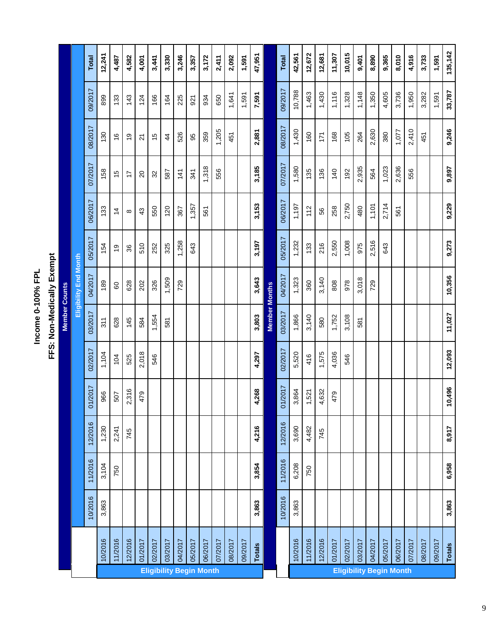Income 0-100% FPL **Income 0-100% FPL**

| ı |
|---|
|   |
|   |
|   |
| ١ |
|   |
|   |
| ۱ |
|   |
|   |
|   |
|   |
|   |
|   |
| l |
|   |
| l |
|   |

|                                |         |         |         |         |         |         | <b>Member Counts</b> |                              |         |                |                |                |         |              |
|--------------------------------|---------|---------|---------|---------|---------|---------|----------------------|------------------------------|---------|----------------|----------------|----------------|---------|--------------|
|                                |         |         |         |         |         |         |                      | <b>Eligibility End Month</b> |         |                |                |                |         |              |
|                                |         | 10/2016 | 11/2016 | 12/2016 | 01/2017 | 02/2017 | 03/2017              | 04/2017                      | 05/2017 | 06/2017        | 07/2017        | 08/2017        | 09/2017 | <b>Total</b> |
|                                | 10/2016 | 3,863   | 3,104   | 1,230   | 966     | 1,104   | 311                  | 189                          | 154     | 133            | 158            | 130            | 899     | 12,241       |
|                                | 11/2016 |         | 750     | 2,241   | 507     | 104     | 628                  | 60                           | Q)      | $\overline{4}$ | 15             | $\frac{6}{5}$  | 133     | 4,487        |
|                                | 12/2016 |         |         | 745     | 2,316   | 525     | 145                  | 628                          | 36      | ${}^{\circ}$   | 17             | ი<br>ს         | 143     | 4,582        |
|                                | 01/2017 |         |         |         | 479     | 2,018   | 584                  | 202                          | 510     | 43             | $\overline{c}$ | $\overline{2}$ | 124     | 4,001        |
|                                | 02/2017 |         |         |         |         | 546     | 1,554                | 326                          | 252     | 550            | 32             | 15             | 166     | 3,441        |
|                                | 03/2017 |         |         |         |         |         | 581                  | 1,509                        | 325     | 120            | 587            | $\frac{4}{3}$  | 164     | 3,330        |
|                                | 04/2017 |         |         |         |         |         |                      | 729                          | 1,258   | 367            | 141            | 526            | 225     | 3,246        |
|                                | 05/2017 |         |         |         |         |         |                      |                              | 643     | 1,357          | 341            | 95             | 921     | 3,357        |
| <b>Eligibility Begin Month</b> | 06/2017 |         |         |         |         |         |                      |                              |         | 561            | 1,318          | 359            | 934     | 3,172        |
|                                | 07/2017 |         |         |         |         |         |                      |                              |         |                | 556            | 1,205          | 650     | 2,411        |
|                                | 08/2017 |         |         |         |         |         |                      |                              |         |                |                | 451            | 1,641   | 2,092        |
|                                | 09/2017 |         |         |         |         |         |                      |                              |         |                |                |                | 1,591   | 1,591        |
|                                | Totals  | 3,863   | 3,854   | 4,216   | 4,268   | 4,297   | 3,803                | 3,643                        | 3,197   | 3,153          | 3,185          | 2,881          | 7,591   | 47,951       |
|                                |         |         |         |         |         |         | <b>Member Months</b> |                              |         |                |                |                |         |              |
|                                |         | 10/2016 | 11/2016 | 12/2016 | 01/2017 | 02/2017 | 03/2017              | 04/2017                      | 05/2017 | 06/2017        | 07/2017        | 08/2017        | 09/2017 | <b>Total</b> |
|                                | 10/2016 | 3,863   | 6,208   | 3,690   | 3,864   | 5,520   | 1,866                | 1,323                        | 1,232   | 1,197          | 1,580          | 1,430          | 10,788  | 42,561       |
|                                | 11/2016 |         | 750     | 4,482   | 1,521   | 416     | 3,140                | 360                          | 133     | 112            | 135            | 160            | 1,463   | 12,672       |
|                                | 12/2016 |         |         | 745     | 4,632   | 1,575   | 580                  | 3,140                        | 216     | 56             | 136            | 171            | 1,430   | 12,681       |
|                                | 01/2017 |         |         |         | 479     | 4,036   | 1,752                | 808                          | 2,550   | 258            | 140            | 168            | 1,116   | 11,307       |
| <b>Eligibility Begin Month</b> | 02/2017 |         |         |         |         | 546     | 3,108                | 978                          | 1,008   | 2,750          | 192            | 105            | 1,328   | 10,015       |
|                                | 03/2017 |         |         |         |         |         | 581                  | 3,018                        | 975     | 480            | 2,935          | 264            | 1,148   | 9,401        |
|                                | 04/2017 |         |         |         |         |         |                      | 729                          | 2,516   | 1,101          | 564            | 2,630          | 1,350   | 8,890        |
|                                | 05/2017 |         |         |         |         |         |                      |                              | 643     | 2,714          | 1,023          | 380            | 4,605   | 9,365        |
|                                | 06/2017 |         |         |         |         |         |                      |                              |         | 561            | 2,636          | 1,077          | 3,736   | 8,010        |
|                                | 07/2017 |         |         |         |         |         |                      |                              |         |                | 556            | 2,410          | 1,950   | 4,916        |
|                                | 08/2017 |         |         |         |         |         |                      |                              |         |                |                | 451            | 3,282   | 3,733        |
|                                | 09/2017 |         |         |         |         |         |                      |                              |         |                |                |                | 1,591   | 1,591        |
|                                | Totals  | 3,863   | 6,958   | 8,917   | 10,496  | 12,093  | 11,027               | 10,356                       | 9,273   | 9,229          | 9,897          | 9,246          | 33,787  | 135,142      |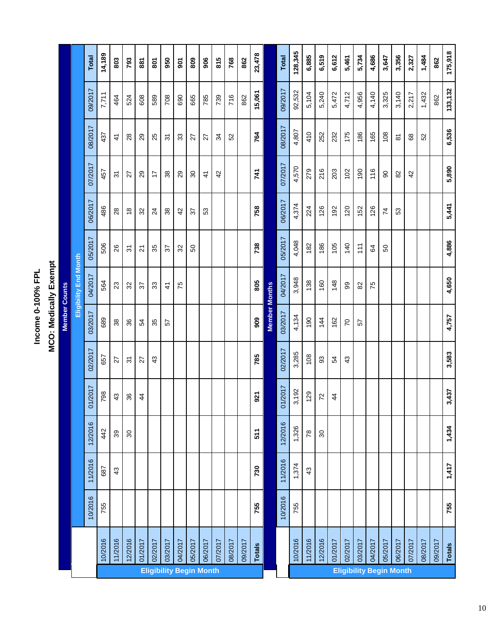**MCO: Medically Exempt** Income 0-100% FPL **Income 0-100% FPL**

**MCO: Medically Exempt**

|                                |               | 10/2016 | 11/2016 | 12/2016                     | 01/2017         | 02/2017        | <b>Member Counts</b><br>03/2017 | Eligibility End Month<br>04/2017 | 05/2017        | 06/2017         | 07/2017        | 08/2017             | 09/2017  | <b>Total</b>   |
|--------------------------------|---------------|---------|---------|-----------------------------|-----------------|----------------|---------------------------------|----------------------------------|----------------|-----------------|----------------|---------------------|----------|----------------|
|                                | 10/2016       | 755     | 687     | 442                         | 798             | 657            | 689                             | 564                              | 506            | 486             | 457            | 437                 | 7,711    | 14,189         |
|                                | 11/2016       |         | 43      | $39\,$                      | 43              | 27             | 38                              | 23                               | 26             | 28              | $\overline{5}$ | $\frac{4}{3}$       | 464      | 803            |
|                                | 12/2016       |         |         | $\mathcal{S}^{\mathcal{C}}$ | 36              | $\overline{3}$ | 36                              | 32                               | 5              | $\frac{8}{1}$   | 27             | $\overline{28}$     | 524      | 793            |
|                                | 01/2017       |         |         |                             | $\frac{4}{3}$   | 27             | 54                              | 57                               | $\overline{2}$ | 32              | 29             | 29                  | 608      | 887            |
|                                | 02/2017       |         |         |                             |                 | 43             | 35                              | 33                               | 35             | $\overline{24}$ | 17             | 25                  | 589      | 202            |
|                                | 03/2017       |         |         |                             |                 |                | 57                              | $\frac{4}{3}$                    | 22             | 38              | 38             | $\overline{5}$      | 708      | 950            |
|                                | 04/2017       |         |         |                             |                 |                |                                 | 75                               | 32             | 42              | 29             | 33                  | 690      | $\overline{5}$ |
|                                | 05/2017       |         |         |                             |                 |                |                                 |                                  | SO             | 57              | $\infty$       | 27                  | 665      | 809            |
| <b>Eligibility Begin Month</b> | 06/2017       |         |         |                             |                 |                |                                 |                                  |                | 53              | $\frac{4}{3}$  | 27                  | 785      | 906            |
|                                | 07/2017       |         |         |                             |                 |                |                                 |                                  |                |                 | 42             | $\frac{3}{4}$       | 739      | 815            |
|                                | 08/2017       |         |         |                             |                 |                |                                 |                                  |                |                 |                | 52                  | 716      | 768            |
|                                | 09/2017       |         |         |                             |                 |                |                                 |                                  |                |                 |                |                     | 862      | 862            |
|                                | <b>Totals</b> | 755     | 730     | 511                         | 921             | 785            | 806                             | 805                              | 738            | 758             | 741            | 764                 | 15,061   | 23,478         |
|                                |               |         |         |                             |                 |                | <b>Member Months</b>            |                                  |                |                 |                |                     |          |                |
|                                |               | 10/2016 | 11/2016 | 12/2016                     | 01/2017         | 02/2017        | 03/2017                         | 04/2017                          | 05/2017        | 06/2017         | 07/2017        | 08/2017             | 09/2017  | Total          |
|                                | 10/2016       | 755     | 1,374   | 1,326                       | 3,192           | 3,285          | 4,134                           | 3,948                            | 4,048          | 4,374           | 4,570          | 4,807               | 92,532   | 128,345        |
|                                | 11/2016       |         | 43      | 78                          | 129             | 108            | 190                             | 138                              | 182            | 224             | 279            | 410                 | 5,104    | 6,885          |
|                                | 12/2016       |         |         | $\mathcal{S}^{\circ}$       | $\overline{72}$ | 93             | 144                             | 160                              | 186            | 126             | 216            | 252                 | 5,240    | 6,519          |
|                                | 01/2017       |         |         |                             | $\ddot{4}$      | 54             | 162                             | 148                              | 105            | 192             | 203            | 232                 | 5,472    | 6,612          |
|                                | 02/2017       |         |         |                             |                 | 43             | 20                              | 99                               | 140            | 120             | 102            | 175                 | 4,712    | 5,461          |
|                                | 03/2017       |         |         |                             |                 |                | 57                              | 82                               | 111            | 152             | 190            | 186                 | 4,956    | 5,734          |
|                                | 04/2017       |         |         |                             |                 |                |                                 | 75                               | \$             | 126             | 116            | 165                 | 4,140    | 4,686          |
| <b>Eligibility Begin Month</b> | 05/2017       |         |         |                             |                 |                |                                 |                                  | SO             | 74              | 90             | 108                 | 3,325    | 3,647          |
|                                | 06/2017       |         |         |                             |                 |                |                                 |                                  |                | 53              | 82             | $\overline{\infty}$ | 3,140    | 3,356          |
|                                | 07/2017       |         |         |                             |                 |                |                                 |                                  |                |                 | 42             | 68                  | 2,217    | 2,327          |
|                                | 08/2017       |         |         |                             |                 |                |                                 |                                  |                |                 |                | 52                  | 1,432    | 1,484          |
|                                | 09/2017       |         |         |                             |                 |                |                                 |                                  |                |                 |                |                     | 862      | 862            |
|                                | Totals        | 755     | 1,417   | 1,434                       | 3,437           | 3,583          | 4,757                           | 4,650                            | 4,886          | 5,441           | 5,890          | 6,536               | 133, 132 | 175,918        |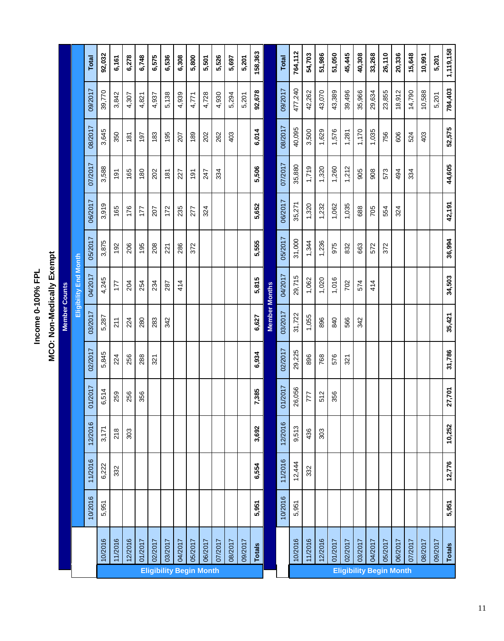**MCO: Non-Medically Exempt** Income 0-100% FPL **Income 0-100% FPL**

**MCO: Non-Medically Exempt**

|                                |               |         |         |         |         |         | <b>Member Counts</b> |                       |         |         |         |         |         |              |
|--------------------------------|---------------|---------|---------|---------|---------|---------|----------------------|-----------------------|---------|---------|---------|---------|---------|--------------|
|                                |               |         |         |         |         |         |                      | Eligibility End Month |         |         |         |         |         |              |
|                                |               | 10/2016 | 11/2016 | 12/2016 | 01/2017 | 02/2017 | 03/2017              | 04/2017               | 05/2017 | 06/2017 | 07/2017 | 08/2017 | 09/2017 | <b>Total</b> |
|                                | 10/2016       | 5,951   | 6,222   | 3,171   | 6,514   | 5,845   | 5,287                | 4,245                 | 3,875   | 3,919   | 3,588   | 3,645   | 39,770  | 92,032       |
|                                | 11/2016       |         | 332     | 218     | 259     | 224     | 211                  | 177                   | 192     | 165     | 191     | 350     | 3,842   | 6,161        |
|                                | 12/2016       |         |         | 303     | 256     | 256     | 224                  | 204                   | 206     | 176     | 165     | 181     | 4,307   | 6,278        |
|                                | 01/2017       |         |         |         | 356     | 288     | 280                  | 254                   | 195     | 177     | 180     | 197     | 4,821   | 6,748        |
|                                | 02/2017       |         |         |         |         | 321     | 283                  | 234                   | 208     | 207     | 202     | 183     | 4,937   | 6,575        |
|                                | 03/2017       |         |         |         |         |         | 342                  | 287                   | 221     | 172     | 181     | 195     | 5,138   | 6,536        |
|                                | 04/2017       |         |         |         |         |         |                      | 414                   | 286     | 235     | 227     | 207     | 4,939   | 6,308        |
|                                | 05/2017       |         |         |         |         |         |                      |                       | 372     | 277     | 191     | 189     | 4,771   | 5,800        |
| <b>Eligibility Begin Month</b> | 06/2017       |         |         |         |         |         |                      |                       |         | 324     | 247     | 202     | 4,728   | 5,501        |
|                                | 07/2017       |         |         |         |         |         |                      |                       |         |         | 334     | 262     | 4,930   | 5,526        |
|                                | 08/2017       |         |         |         |         |         |                      |                       |         |         |         | 403     | 5,294   | 5,697        |
|                                | 09/2017       |         |         |         |         |         |                      |                       |         |         |         |         | 5,201   | 5,201        |
|                                | <b>Totals</b> | 5,951   | 6,554   | 3,692   | 7,385   | 6,934   | 6,627                | 5,815                 | 5,555   | 5,652   | 5,506   | 6,014   | 92,678  | 158,363      |
|                                |               |         |         |         |         |         | <b>Member Months</b> |                       |         |         |         |         |         |              |
|                                |               | 10/2016 | 11/2016 | 12/2016 | 01/2017 | 02/2017 | 03/2017              | 04/2017               | 05/2017 | 06/2017 | 07/2017 | 08/2017 | 09/2017 | Total        |
|                                | 10/2016       | 5,951   | 12,444  | 9,513   | 26,056  | 29,225  | 31,722               | 29,715                | 31,000  | 35,271  | 35,880  | 40,095  | 477,240 | 764,112      |
|                                | 11/2016       |         | 332     | 436     | 777     | 896     | 1,055                | 1,062                 | 1,344   | 1,320   | 1,719   | 3,500   | 42,262  | 54,703       |
|                                | 12/2016       |         |         | 303     | 512     | 768     | 896                  | 1,020                 | 1,236   | 1,232   | 1,320   | 1,629   | 43,070  | 51,986       |
|                                | 01/2017       |         |         |         | 356     | 576     | 840                  | 1,016                 | 975     | 1,062   | 1,260   | 1,576   | 43,389  | 51,050       |
|                                | 02/2017       |         |         |         |         | 321     | 566                  | 702                   | 832     | 1,035   | 1,212   | 1,281   | 39,496  | 45,445       |
|                                | 03/2017       |         |         |         |         |         | 342                  | 574                   | 663     | 688     | 905     | 1,170   | 35,966  | 40,308       |
|                                | 04/2017       |         |         |         |         |         |                      | 414                   | 572     | 705     | 908     | 1,035   | 29,634  | 33,268       |
| <b>Eligibility Begin Month</b> | 05/2017       |         |         |         |         |         |                      |                       | 372     | 554     | 573     | 756     | 23,855  | 26,110       |
|                                | 06/2017       |         |         |         |         |         |                      |                       |         | 324     | 494     | 606     | 18,912  | 20,336       |
|                                | 07/2017       |         |         |         |         |         |                      |                       |         |         | 334     | 524     | 14,790  | 15,648       |
|                                | 08/2017       |         |         |         |         |         |                      |                       |         |         |         | 403     | 10,588  | 10,991       |
|                                | 09/2017       |         |         |         |         |         |                      |                       |         |         |         |         | 5,201   | 5,201        |
|                                | Totals        | 5,951   | 12,776  | 10,252  | 27,701  | 31,786  | 35,421               | 34,503                | 36,994  | 42,191  | 44,605  | 52,575  | 784,403 | 1,119,158    |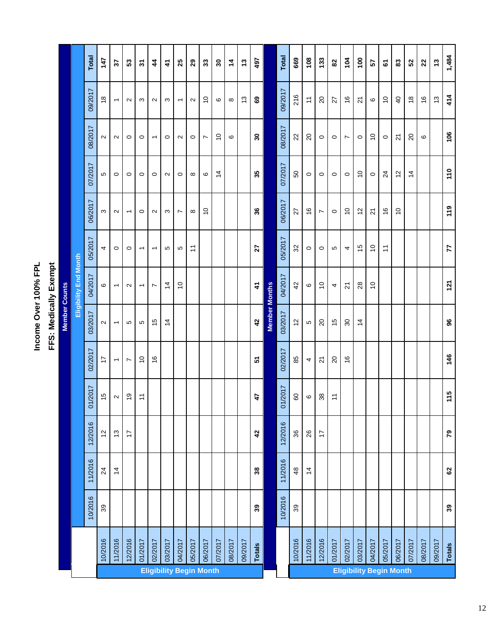Income Over 100% FPL<br>FFS: Medically Exempt **Income Over 100% FPL**

**FFS: Medically Exempt**

|                                |               |         |                 |               |                   |                          | <b>Member Counts</b>     |                          |                          |                |                 |                          |                          |                   |
|--------------------------------|---------------|---------|-----------------|---------------|-------------------|--------------------------|--------------------------|--------------------------|--------------------------|----------------|-----------------|--------------------------|--------------------------|-------------------|
|                                |               |         |                 |               |                   |                          |                          | Eligibility End Month    |                          |                |                 |                          |                          |                   |
|                                |               | 10/2016 | 11/2016         | 12/2016       | 01/2017           | 02/2017                  | 03/2017                  | 04/2017                  | 05/2017                  | 06/2017        | 07/2017         | 08/2017                  | 09/2017                  | <b>Total</b>      |
|                                | 10/2016       | $39\,$  | $\overline{24}$ | 57            | $\frac{1}{2}$     | $\overline{1}$           | $\sim$                   | $\circ$                  | 4                        | S              | Ю               | $\sim$                   | $\frac{8}{1}$            | 147               |
|                                | 11/2016       |         | $\overline{4}$  | $\frac{3}{2}$ | $\mathbf{\Omega}$ | $\overline{\phantom{0}}$ | $\overline{\phantom{0}}$ | $\overline{\phantom{0}}$ | $\circ$                  | $\sim$         | $\circ$         | $\sim$                   | $\overline{\phantom{0}}$ | 22                |
|                                | 12/2016       |         |                 | $\ddot{ }$    | ó,                | $\overline{ }$           | Б                        | $\sim$                   | $\circ$                  | $\overline{ }$ | $\circ$         | $\circ$                  | $\sim$                   | 53                |
|                                | 01/2017       |         |                 |               | $\tilde{t}$       | $\tilde{c}$              | 5                        | $\overline{\phantom{0}}$ | $\overline{\phantom{0}}$ | $\circ$        | $\circ$         | $\circ$                  | S                        | $\frac{1}{2}$     |
|                                | 02/2017       |         |                 |               |                   | $\frac{6}{5}$            | 15                       | $\overline{ }$           | $\overline{\phantom{0}}$ | $\sim$         | $\circ$         | $\overline{\phantom{0}}$ | $\sim$                   | 4                 |
|                                | 03/2017       |         |                 |               |                   |                          | $\overline{4}$           | $\overline{4}$           | Б                        | S              | $\sim$          | $\circ$                  | $\infty$                 | 4                 |
|                                | 04/2017       |         |                 |               |                   |                          |                          | $\tilde{c}$              | Б                        | $\overline{ }$ | $\circ$         | $\sim$                   | $\overline{\phantom{m}}$ | 25                |
|                                | 05/2017       |         |                 |               |                   |                          |                          |                          | $\tilde{\mathcal{L}}$    | $\infty$       | $\infty$        | $\circ$                  | $\sim$                   | 29                |
| <b>Eligibility Begin Month</b> | 06/2017       |         |                 |               |                   |                          |                          |                          |                          | $\tilde{c}$    | $\pmb{\circ}$   | $\overline{ }$           | $\tilde{0}$              | 33                |
|                                | 07/2017       |         |                 |               |                   |                          |                          |                          |                          |                | $\overline{4}$  | $\tilde{c}$              | $\pmb{\circ}$            | $\boldsymbol{30}$ |
|                                | 08/2017       |         |                 |               |                   |                          |                          |                          |                          |                |                 | ဖ                        | $\infty$                 | 4                 |
|                                | 09/2017       |         |                 |               |                   |                          |                          |                          |                          |                |                 |                          | $\frac{3}{2}$            | 13                |
|                                | <b>Totals</b> | 39      | $38\,$          | 42            | 47                | 5                        | 42                       | $\dot{4}$                | 27                       | 36             | 35              | 30                       | ශී                       | 497               |
|                                |               |         |                 |               |                   |                          | <b>Member Months</b>     |                          |                          |                |                 |                          |                          |                   |
|                                |               | 10/2016 | 11/2016         | 12/2016       | 01/2017           | 02/2017                  | 03/2017                  | 04/2017                  | 05/2017                  | 06/2017        | 07/2017         | 08/2017                  | 09/2017                  | Total             |
|                                | 10/2016       | 39      | $48$            | 36            | 80                | 85                       | $\frac{2}{3}$            | 42                       | 32                       | 27             | SO              | 22                       | 216                      | 669               |
|                                | 11/2016       |         | $\overline{4}$  | 26            | $\pmb{\circ}$     | 4                        | Ю                        | $\mathbf{\circ}$         | $\circ$                  | $\frac{6}{5}$  | $\circ$         | $\overline{c}$           | $\overline{a}$           | 108               |
|                                | 12/2016       |         |                 | $\ddot{ }$    | $38\,$            | $\overline{z}$           | $\overline{c}$           | $\tilde{c}$              | $\circ$                  | $\overline{ }$ | $\circ$         | $\circ$                  | $\overline{c}$           | 133               |
|                                | 01/2017       |         |                 |               | $\overline{a}$    | $\overline{20}$          | $\frac{1}{2}$            | 4                        | Ю                        | $\circ$        | $\circ$         | $\circ$                  | 27                       | $82\,$            |
|                                | 02/2017       |         |                 |               |                   | $\frac{6}{5}$            | $\mathcal{S}^{\circ}$    | $\overline{2}$           | 4                        | $\tilde{c}$    | $\circ$         | $\overline{ }$           | $\frac{6}{5}$            | 104               |
|                                | 03/2017       |         |                 |               |                   |                          | $\overline{4}$           | $28$                     | $\frac{1}{2}$            | $\frac{1}{2}$  | $\overline{C}$  | $\circ$                  | $\overline{2}$           | $\frac{100}{2}$   |
|                                | 04/2017       |         |                 |               |                   |                          |                          | $\tilde{c}$              | $\tilde{c}$              | $\overline{2}$ | $\circ$         | $\tilde{c}$              | $\pmb{\circ}$            | 57                |
| <b>Eligibility Begin Month</b> | 05/2017       |         |                 |               |                   |                          |                          |                          | $\tilde{+}$              | $\frac{6}{5}$  | $\overline{24}$ | $\circ$                  | $\overline{C}$           | 5                 |
|                                | 06/2017       |         |                 |               |                   |                          |                          |                          |                          | $\tilde{c}$    | $\frac{1}{2}$   | $\overline{2}$           | $\overline{4}$           | 33                |
|                                | 07/2017       |         |                 |               |                   |                          |                          |                          |                          |                | $\overline{4}$  | $\overline{c}$           | $\frac{8}{1}$            | 52                |
|                                | 08/2017       |         |                 |               |                   |                          |                          |                          |                          |                |                 | ဖ                        | $\frac{6}{5}$            | 22                |
|                                | 09/2017       |         |                 |               |                   |                          |                          |                          |                          |                |                 |                          | $\frac{3}{2}$            | $\ddot{3}$        |
|                                | <b>Totals</b> | 39      | 62              | 79            | 115               | 146                      | 96                       | 121                      | 77                       | 119            | 110             | 106                      | 414                      | 1,484             |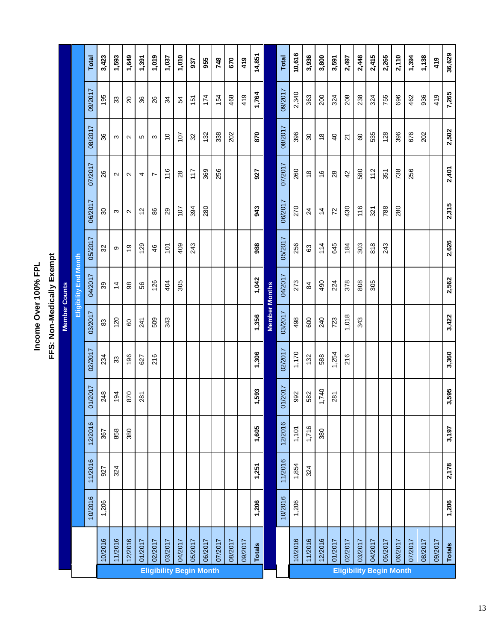Income Over 100% FPL **Income Over 100% FPL**

| l           |
|-------------|
| ï           |
| ٠           |
| r           |
| l<br>i      |
|             |
| i<br>ī<br>l |
|             |
|             |

|                      |                              | <b>Total</b> | 3,423                       | 1,593          | 1,649             | 1,391         | 1,019          | 1,037                          | 1,010   | 937     | 955     | 748     | 670     | 419     | 14,851        |                      | <b>Total</b> | 10,616  | 3,936           | 3,800          | 3,591          | 2,497                          | 2,448   | 2,415   | 2,265   | 2,110   | 1,394   | 1,138   | 419     | 36,629 |
|----------------------|------------------------------|--------------|-----------------------------|----------------|-------------------|---------------|----------------|--------------------------------|---------|---------|---------|---------|---------|---------|---------------|----------------------|--------------|---------|-----------------|----------------|----------------|--------------------------------|---------|---------|---------|---------|---------|---------|---------|--------|
|                      |                              | 09/2017      | 195                         | 33             | $\overline{c}$    | 36            | 26             | 34                             | 54      | 151     | 174     | 154     | 468     | 419     | 1,764         |                      | 09/2017      | 2,340   | 363             | 200            | 324            | 208                            | 238     | 324     | 755     | 696     | 462     | 936     | 419     | 7,265  |
|                      |                              | 08/2017      | 36                          | S              | $\sim$            | Ю             | S              | $\tilde{c}$                    | 107     | 32      | 132     | 338     | 202     |         | 870           |                      | 08/2017      | 396     | 80              | $\frac{8}{1}$  | $\overline{4}$ | $\overline{2}$                 | 80      | 535     | 128     | 396     | 676     | 202     |         | 2,502  |
|                      |                              | 07/2017      | 26                          | $\sim$         | $\sim$            | 4             | $\overline{ }$ | 116                            | 28      | 117     | 369     | 256     |         |         | 927           |                      | 07/2017      | 260     | $\frac{8}{1}$   | $\frac{6}{5}$  | 28             | 42                             | 580     | 112     | 351     | 738     | 256     |         |         | 2,401  |
|                      |                              | 06/2017      | $\mathcal{S}^{\mathcal{C}}$ | S              | $\mathbf{\Omega}$ | $\frac{2}{3}$ | 86             | 29                             | 107     | 394     | 280     |         |         |         | 943           |                      | 06/2017      | 270     | $\overline{24}$ | $\overline{4}$ | $\overline{z}$ | 430                            | 116     | 321     | 788     | 280     |         |         |         | 2,315  |
|                      |                              | 05/2017      | 32                          | တ              | $\frac{6}{5}$     | 129           | 46             | $\overline{5}$                 | 409     | 243     |         |         |         |         | 988           |                      | 05/2017      | 256     | 63              | 114            | 645            | 184                            | 303     | 818     | 243     |         |         |         |         | 2,626  |
|                      | <b>Eligibility End Month</b> | 04/2017      | 39                          | $\overline{4}$ | $\frac{8}{2}$     | 56            | 126            | 404                            | 305     |         |         |         |         |         | 1,042         |                      | 04/2017      | 273     | 84              | 490            | 224            | 378                            | 808     | 305     |         |         |         |         |         | 2,562  |
| <b>Member Counts</b> |                              | 03/2017      | $\rm ^{83}$                 | 120            | 80                | 241           | 509            | 343                            |         |         |         |         |         |         | 1,356         | <b>Member Months</b> | 03/2017      | 498     | 600             | 240            | 723            | 1,018                          | 343     |         |         |         |         |         |         | 3,422  |
|                      |                              | 02/2017      | 234                         | 33             | 196               | 627           | 216            |                                |         |         |         |         |         |         | 1,306         |                      | 02/2017      | 1,170   | 132             | 588            | 1,254          | 216                            |         |         |         |         |         |         |         | 3,360  |
|                      |                              | 01/2017      | 248                         | 194            | 870               | 281           |                |                                |         |         |         |         |         |         | 1,593         |                      | 01/2017      | 992     | 582             | 1,740          | 281            |                                |         |         |         |         |         |         |         | 3,595  |
|                      |                              | 12/2016      | 367                         | 858            | 380               |               |                |                                |         |         |         |         |         |         | 1,605         |                      | 12/2016      | 1,101   | 1,716           | 380            |                |                                |         |         |         |         |         |         |         | 3,197  |
|                      |                              | 11/2016      | 927                         | 324            |                   |               |                |                                |         |         |         |         |         |         | 1,251         |                      | 11/2016      | 1,854   | 324             |                |                |                                |         |         |         |         |         |         |         | 2,178  |
|                      |                              | 10/2016      | 1,206                       |                |                   |               |                |                                |         |         |         |         |         |         | 1,206         |                      | 10/2016      | 1,206   |                 |                |                |                                |         |         |         |         |         |         |         | 1,206  |
|                      |                              |              | 10/2016                     | 11/2016        | 12/2016           | 01/2017       | 02/2017        | 03/2017                        | 04/2017 | 05/2017 | 06/2017 | 07/2017 | 08/2017 | 09/2017 | <b>Totals</b> |                      |              | 10/2016 | 11/2016         | 12/2016        | 01/2017        | 02/2017                        | 03/2017 | 04/2017 | 05/2017 | 06/2017 | 07/2017 | 08/2017 | 09/2017 | Totals |
|                      |                              |              |                             |                |                   |               |                | <b>Eligibility Begin Month</b> |         |         |         |         |         |         |               |                      |              |         |                 |                |                | <b>Eligibility Begin Month</b> |         |         |         |         |         |         |         |        |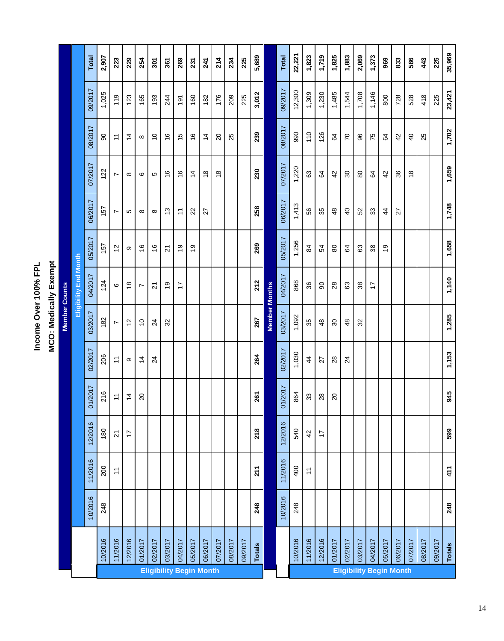Income Over 100% FPL<br>MCO: Medically Exempt **Income Over 100% FPL**

**MCO: Medically Exempt**

|                                |               |         |                |                |                 |                 | <b>Member Counts</b>        |                              |                |                   |                                |                |         |                |
|--------------------------------|---------------|---------|----------------|----------------|-----------------|-----------------|-----------------------------|------------------------------|----------------|-------------------|--------------------------------|----------------|---------|----------------|
|                                |               |         |                |                |                 |                 |                             | <b>Eligibility End Month</b> |                |                   |                                |                |         |                |
|                                |               | 10/2016 | 11/2016        | 12/2016        | 01/2017         | 02/2017         | 03/2017                     | 04/2017                      | 05/2017        | 06/2017           | 07/2017                        | 08/2017        | 09/2017 | <b>Total</b>   |
|                                | 10/2016       | 248     | 200            | 180            | 216             | 206             | 182                         | 124                          | 157            | 157               | 122                            | 8              | 1,025   | 2,907          |
|                                | 11/2016       |         | $\tilde{\tau}$ | $\overline{2}$ | $\overline{1}$  | $\overline{1}$  | $\overline{ }$              | $\circ$                      | $\tilde{c}$    | $\overline{ }$    | $\overline{ }$                 | $\overline{a}$ | 119     | 223            |
|                                | 12/2016       |         |                | $\ddot{ }$     | $\frac{4}{4}$   | ω               | $\tilde{c}$                 | $\frac{8}{1}$                | ω              | 5                 | $\infty$                       | 4              | 123     | 229            |
|                                | 01/2017       |         |                |                | $\overline{c}$  | $\frac{4}{4}$   | $\tilde{c}$                 | L                            | $\frac{6}{5}$  | $\infty$          | ဖ                              | $\infty$       | 165     | 254            |
|                                | 02/2017       |         |                |                |                 | $\overline{2}$  | $\overline{2}$              | $\overline{2}$               | $\frac{6}{5}$  | ${}^{\circ}$      | ю                              | $\tilde{c}$    | 193     | $\frac{20}{3}$ |
|                                | 03/2017       |         |                |                |                 |                 | $\mathfrak{L}$              | စ္                           | $\overline{2}$ | $\frac{3}{2}$     | $\frac{6}{5}$                  | $\frac{6}{5}$  | 244     | 361            |
|                                | 04/2017       |         |                |                |                 |                 |                             | $\ddot{ }$                   | $\frac{6}{2}$  | $\overline{\tau}$ | $\frac{6}{5}$                  | $\frac{5}{2}$  | 191     | 269            |
|                                | 05/2017       |         |                |                |                 |                 |                             |                              | $\frac{6}{5}$  | $\mathbf{z}$      | $\overline{4}$                 | $\frac{6}{5}$  | 160     | 231            |
| <b>Eligibility Begin Month</b> | 06/2017       |         |                |                |                 |                 |                             |                              |                | 27                | $\frac{8}{1}$                  | $\overline{4}$ | 182     | 241            |
|                                | 07/2017       |         |                |                |                 |                 |                             |                              |                |                   | $\frac{8}{1}$                  | $\overline{c}$ | 176     | 214            |
|                                | 08/2017       |         |                |                |                 |                 |                             |                              |                |                   |                                | 25             | 209     | 234            |
|                                | 09/2017       |         |                |                |                 |                 |                             |                              |                |                   |                                |                | 225     | 225            |
|                                | <b>Totals</b> | 248     | 211            | <b>218</b>     | 261             | 264             | 267                         | 212                          | 269            | 258               | 230                            | 239            | 3,012   | 5,689          |
|                                |               |         |                |                |                 |                 | <b>Member Months</b>        |                              |                |                   |                                |                |         |                |
|                                |               | 10/2016 | 11/2016        | 12/2016        | 01/2017         | 02/2017         | 03/2017                     | 04/2017                      | 05/2017        | 06/2017           | 07/2017                        | 08/2017        | 09/2017 | <b>Total</b>   |
|                                | 10/2016       | 248     | 400            | 540            | 864             | 1,030           | 1,092                       | 868                          | 1,256          | 1,413             | 1,220                          | 990            | 12,300  | 22,221         |
|                                | 11/2016       |         | $\tilde{\tau}$ | 42             | 33              | $\overline{4}$  | 35                          | 36                           | $\approx$      | 56                | 63                             | 110            | 1,309   | 1,823          |
|                                | 12/2016       |         |                | 17             | 28              | 27              | $\frac{8}{4}$               | 8                            | 54             | 35                | $\mathfrak{g}$                 | 126            | 1,230   | 1,719          |
|                                | 01/2017       |         |                |                | $\overline{20}$ | 28              | $\mathcal{S}^{\mathcal{O}}$ | $^{28}$                      | 80             | 48                | 42                             | \$4            | 1,485   | 1,825          |
| <b>Eligibility Begin Month</b> | 02/2017       |         |                |                |                 | $\overline{24}$ | $\frac{8}{4}$               | යි                           | 54             | $\overline{a}$    | $\boldsymbol{S}$               | $\overline{C}$ | 1,544   | 1,883          |
|                                | 03/2017       |         |                |                |                 |                 | 32                          | 38                           | යි             | 52                | $80$                           | 96             | 1,708   | 2,069          |
|                                | 04/2017       |         |                |                |                 |                 |                             | 17                           | 38             | 33                | \$                             | 75             | 1,146   | 1,373          |
|                                | 05/2017       |         |                |                |                 |                 |                             |                              | $\frac{6}{5}$  | $\overline{4}$    | 42                             | $\mathfrak{g}$ | 800     | 969            |
|                                | 06/2017       |         |                |                |                 |                 |                             |                              |                | 27                | 36                             | 42             | 728     | 833            |
|                                | 07/2017       |         |                |                |                 |                 |                             |                              |                |                   | $\overset{\circ}{\phantom{a}}$ | $\overline{4}$ | 528     | 586            |
|                                | 08/2017       |         |                |                |                 |                 |                             |                              |                |                   |                                | 25             | 418     | 443            |
|                                | 09/2017       |         |                |                |                 |                 |                             |                              |                |                   |                                |                | 225     | 225            |
|                                | Totals        | 248     | 411            | 599            | 945             | 1,153           | 1,285                       | 1,140                        | 1,658          | 1,748             | 1,659                          | 1,702          | 23,421  | 35,969         |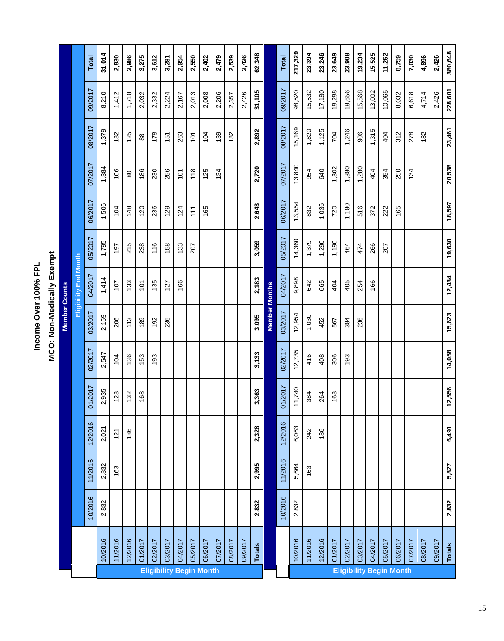**MCO: Non-Medically Exempt** Income Over 100% FPL **Income Over 100% FPL**

**MCO: Non-Medically Exempt**

|                                |               |         |         |         |         |         | <b>Member Counts</b> |                       |         |                |         |         |         |              |
|--------------------------------|---------------|---------|---------|---------|---------|---------|----------------------|-----------------------|---------|----------------|---------|---------|---------|--------------|
|                                |               |         |         |         |         |         |                      | Eligibility End Month |         |                |         |         |         |              |
|                                |               | 10/2016 | 11/2016 | 12/2016 | 01/2017 | 02/2017 | 03/2017              | 04/2017               | 05/2017 | 06/2017        | 07/2017 | 08/2017 | 09/2017 | <b>Total</b> |
|                                | 10/2016       | 2,832   | 2,832   | 2,021   | 2,935   | 2,547   | 2,159                | 1,414                 | 1,795   | 1,506          | 1,384   | 1,379   | 8,210   | 31,014       |
|                                | 11/2016       |         | 163     | 121     | 128     | 104     | 206                  | 107                   | 197     | 104            | 106     | 182     | 1,412   | 2,830        |
|                                | 12/2016       |         |         | 186     | 132     | 136     | 113                  | 133                   | 215     | 148            | 80      | 125     | 1,718   | 2,986        |
|                                | 01/2017       |         |         |         | 168     | 153     | 189                  | 101                   | 238     | 120            | 186     | 88      | 2,032   | 3,275        |
|                                | 02/2017       |         |         |         |         | 193     | 192                  | 135                   | 116     | 236            | 230     | 178     | 2,332   | 3,612        |
|                                | 03/2017       |         |         |         |         |         | 236                  | 127                   | 158     | 129            | 256     | 151     | 2,224   | 3,281        |
|                                | 04/2017       |         |         |         |         |         |                      | 166                   | 133     | 124            | 101     | 263     | 2,167   | 2,954        |
|                                | 05/2017       |         |         |         |         |         |                      |                       | 207     | $\frac{1}{11}$ | 118     | 101     | 2,013   | 2,550        |
| <b>Eligibility Begin Month</b> | 06/2017       |         |         |         |         |         |                      |                       |         | 165            | 125     | 104     | 2,008   | 2,402        |
|                                | 07/2017       |         |         |         |         |         |                      |                       |         |                | 134     | 139     | 2,206   | 2,479        |
|                                | 08/2017       |         |         |         |         |         |                      |                       |         |                |         | 182     | 2,357   | 2,539        |
|                                | 09/2017       |         |         |         |         |         |                      |                       |         |                |         |         | 2,426   | 2,426        |
|                                | <b>Totals</b> | 2,832   | 2,995   | 2,328   | 3,363   | 3,133   | 3,095                | 2,183                 | 3,059   | 2,643          | 2,720   | 2,892   | 31,105  | 62,348       |
|                                |               |         |         |         |         |         | <b>Member Months</b> |                       |         |                |         |         |         |              |
|                                |               | 10/2016 | 11/2016 | 12/2016 | 01/2017 | 02/2017 | 03/2017              | 04/2017               | 05/2017 | 06/2017        | 07/2017 | 08/2017 | 09/2017 | <b>Total</b> |
|                                | 10/2016       | 2,832   | 5,664   | 6,063   | 11,740  | 12,735  | 12,954               | 9,898                 | 14,360  | 13,554         | 13,840  | 15,169  | 98,520  | 217,329      |
|                                | 11/2016       |         | 163     | 242     | 384     | 416     | 1,030                | 642                   | 1,379   | 832            | 954     | 1,820   | 15,532  | 23,394       |
|                                | 12/2016       |         |         | 186     | 264     | 408     | 452                  | 665                   | 1,290   | 1,036          | 640     | 1,125   | 17,180  | 23,246       |
|                                | 01/2017       |         |         |         | 168     | 306     | 567                  | 404                   | 1,190   | 720            | 1,302   | 704     | 18,288  | 23,649       |
| <b>Eligibility Begin Month</b> | 02/2017       |         |         |         |         | 193     | 384                  | 405                   | 464     | 1,180          | 1,380   | 1,246   | 18,656  | 23,908       |
|                                | 03/2017       |         |         |         |         |         | 236                  | 254                   | 474     | 516            | 1,280   | 906     | 15,568  | 19,234       |
|                                | 04/2017       |         |         |         |         |         |                      | 166                   | 266     | 372            | 404     | 1,315   | 13,002  | 15,525       |
|                                | 05/2017       |         |         |         |         |         |                      |                       | 207     | 222            | 354     | 404     | 10,065  | 11,252       |
|                                | 06/2017       |         |         |         |         |         |                      |                       |         | 165            | 250     | 312     | 8,032   | 8,759        |
|                                | 07/2017       |         |         |         |         |         |                      |                       |         |                | 134     | 278     | 6,618   | 7,030        |
|                                | 08/2017       |         |         |         |         |         |                      |                       |         |                |         | 182     | 4,714   | 4,896        |
|                                | 09/2017       |         |         |         |         |         |                      |                       |         |                |         |         | 2,426   | 2,426        |
|                                | <b>Totals</b> | 2,832   | 5,827   | 6,491   | 12,556  | 14,058  | 15,623               | 12,434                | 19,630  | 18,597         | 20,538  | 23,461  | 228,601 | 380,648      |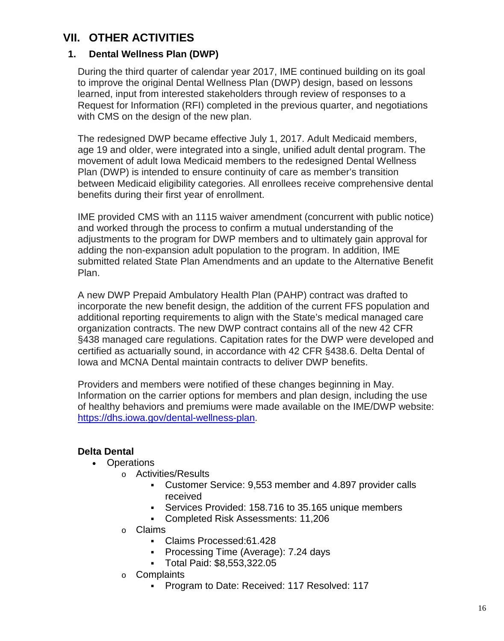### **VII. OTHER ACTIVITIES**

### **1. Dental Wellness Plan (DWP)**

During the third quarter of calendar year 2017, IME continued building on its goal to improve the original Dental Wellness Plan (DWP) design, based on lessons learned, input from interested stakeholders through review of responses to a Request for Information (RFI) completed in the previous quarter, and negotiations with CMS on the design of the new plan.

The redesigned DWP became effective July 1, 2017. Adult Medicaid members, age 19 and older, were integrated into a single, unified adult dental program. The movement of adult Iowa Medicaid members to the redesigned Dental Wellness Plan (DWP) is intended to ensure continuity of care as member's transition between Medicaid eligibility categories. All enrollees receive comprehensive dental benefits during their first year of enrollment.

IME provided CMS with an 1115 waiver amendment (concurrent with public notice) and worked through the process to confirm a mutual understanding of the adjustments to the program for DWP members and to ultimately gain approval for adding the non-expansion adult population to the program. In addition, IME submitted related State Plan Amendments and an update to the Alternative Benefit Plan.

A new DWP Prepaid Ambulatory Health Plan (PAHP) contract was drafted to incorporate the new benefit design, the addition of the current FFS population and additional reporting requirements to align with the State's medical managed care organization contracts. The new DWP contract contains all of the new 42 CFR §438 managed care regulations. Capitation rates for the DWP were developed and certified as actuarially sound, in accordance with 42 CFR §438.6. Delta Dental of Iowa and MCNA Dental maintain contracts to deliver DWP benefits.

Providers and members were notified of these changes beginning in May. Information on the carrier options for members and plan design, including the use of healthy behaviors and premiums were made available on the IME/DWP website: [https://dhs.iowa.gov/dental-wellness-plan.](https://dhs.iowa.gov/dental-wellness-plan)

### **Delta Dental**

- Operations
	- o Activities/Results
		- Customer Service: 9,553 member and 4.897 provider calls received
		- Services Provided: 158.716 to 35.165 unique members
		- Completed Risk Assessments: 11,206
	- o Claims
		- Claims Processed:61.428
		- **Processing Time (Average): 7.24 days**
		- Total Paid: \$8,553,322.05
	- o Complaints
		- **Program to Date: Received: 117 Resolved: 117**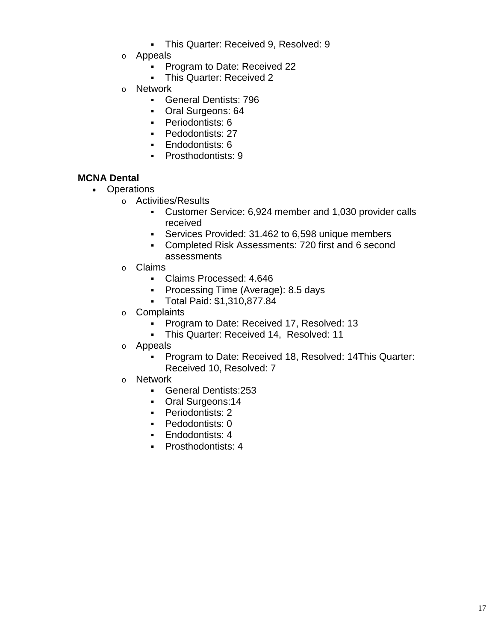- This Quarter: Received 9, Resolved: 9
- o Appeals
	- **Program to Date: Received 22**
	- This Quarter: Received 2
- o Network
	- General Dentists: 796
	- Oral Surgeons: 64
	- **Periodontists: 6**
	- **-** Pedodontists: 27
	- **Endodontists: 6**
	- **Prosthodontists: 9**

#### **MCNA Dental**

- Operations
	- o Activities/Results
		- Customer Service: 6,924 member and 1,030 provider calls received
		- Services Provided: 31.462 to 6,598 unique members
		- Completed Risk Assessments: 720 first and 6 second assessments
	- o Claims
		- Claims Processed: 4.646
		- **Processing Time (Average): 8.5 days**
		- Total Paid: \$1,310,877.84
	- o Complaints
		- **Program to Date: Received 17, Resolved: 13**
		- This Quarter: Received 14, Resolved: 11
	- o Appeals
		- Program to Date: Received 18, Resolved: 14This Quarter: Received 10, Resolved: 7
	- o Network
		- General Dentists:253
		- Oral Surgeons:14
		- **-** Periodontists: 2
		- **-** Pedodontists: 0
		- **Endodontists: 4**
		- **Prosthodontists: 4**